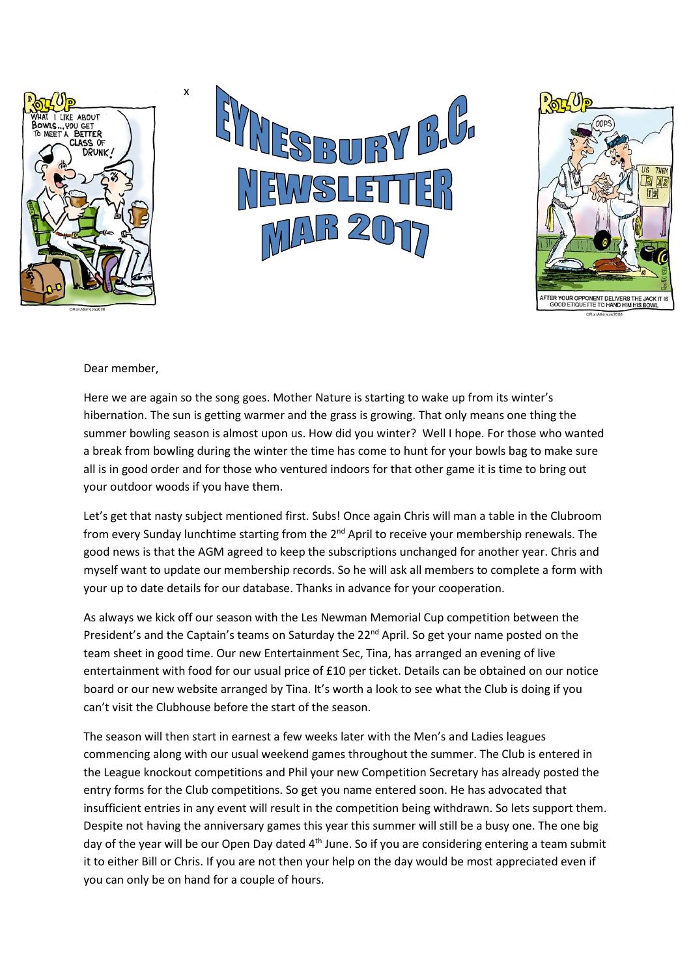





Dear member,

x

Here we are again so the song goes. Mother Nature is starting to wake up from its winter's hibernation. The sun is getting warmer and the grass is growing. That only means one thing the summer bowling season is almost upon us. How did you winter? Well I hope. For those who wanted a break from bowling during the winter the time has come to hunt for your bowls bag to make sure all is in good order and for those who ventured indoors for that other game it is time to bring out your outdoor woods if you have them.

Let's get that nasty subject mentioned first. Subs! Once again Chris will man a table in the Clubroom from every Sunday lunchtime starting from the 2<sup>nd</sup> April to receive your membership renewals. The good news is that the AGM agreed to keep the subscriptions unchanged for another year. Chris and myself want to update our membership records. So he will ask all members to complete a form with your up to date details for our database. Thanks in advance for your cooperation.

As always we kick off our season with the Les Newman Memorial Cup competition between the President's and the Captain's teams on Saturday the 22<sup>nd</sup> April. So get your name posted on the team sheet in good time. Our new Entertainment Sec, Tina, has arranged an evening of live entertainment with food for our usual price of £10 per ticket. Details can be obtained on our notice board or our new website arranged by Tina. It's worth a look to see what the Club is doing if you can't visit the Clubhouse before the start of the season.

The season will then start in earnest a few weeks later with the Men's and Ladies leagues commencing along with our usual weekend games throughout the summer. The Club is entered in the League knockout competitions and Phil your new Competition Secretary has already posted the entry forms for the Club competitions. So get you name entered soon. He has advocated that insufficient entries in any event will result in the competition being withdrawn. So lets support them. Despite not having the anniversary games this year this summer will still be a busy one. The one big day of the year will be our Open Day dated 4<sup>th</sup> June. So if you are considering entering a team submit it to either Bill or Chris. If you are not then your help on the day would be most appreciated even if you can only be on hand for a couple of hours.